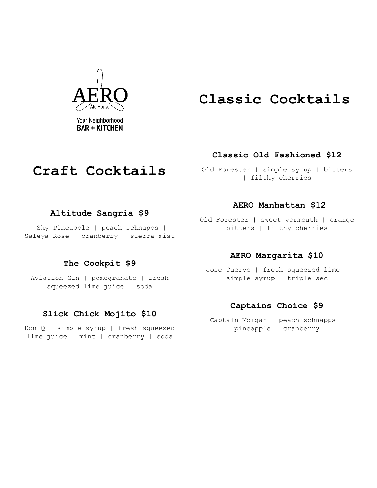

# **Classic Cocktails**

### **Classic Old Fashioned \$12**

Old Forester | simple syrup | bitters | filthy cherries

#### **Altitude Sangria \$9**

**Craft Cocktails**

Sky Pineapple | peach schnapps | Saleya Rose | cranberry | sierra mist

### **The Cockpit \$9**

Aviation Gin | pomegranate | fresh squeezed lime juice | soda

### **Slick Chick Mojito \$10**

Don Q | simple syrup | fresh squeezed lime juice | mint | cranberry | soda

#### **AERO Manhattan \$12**

Old Forester | sweet vermouth | orange bitters | filthy cherries

#### **AERO Margarita \$10**

Jose Cuervo | fresh squeezed lime | simple syrup | triple sec

#### **Captains Choice \$9**

Captain Morgan | peach schnapps | pineapple | cranberry